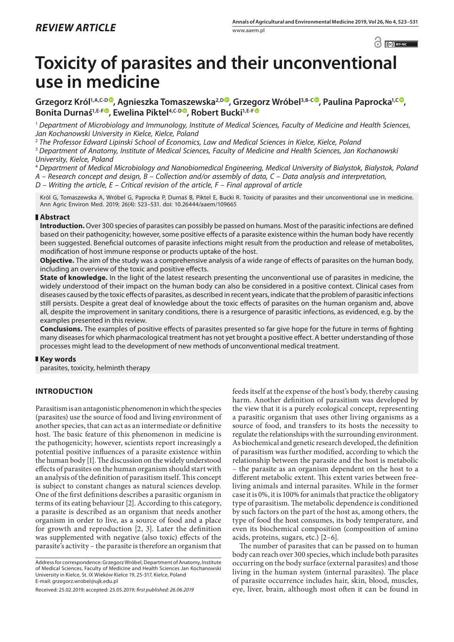# **Toxicity of parasites and their unconventional use in medicine**

Grzegorz Król<sup>1,A,C-[D](https://orcid.org/0000-0002-9259-5755)</sup><sup>®</sup>, Aqnieszka Tomaszewska<sup>2,D®</sup>, Grzegorz Wróbel<sup>3,B-C®</sup>, Paulina Paprocka<sup>1,C®</sup>, Bonita Durnaś<sup>1,E-F®</sup>, Ewelina Piktel<sup>4,C-D®</sup>, Robert Bucki<sup>1,E-F®</sup>

<sup>1</sup> *Department of Microbiology and Immunology, Institute of Medical Sciences, Faculty of Medicine and Health Sciences, Jan Kochanowski University in Kielce, Kielce, Poland*

<sup>2</sup> *The Professor Edward Lipinski School of Economics, Law and Medical Sciences in Kielce, Kielce, Poland*

<sup>3</sup> *Department of Anatomy, Institute of Medical Sciences, Faculty of Medicine and Health Sciences, Jan Kochanowski University, Kielce, Poland*

<sup>4</sup> *Department of Medical Microbiology and Nanobiomedical Engineering, Medical University of Bialystok, Bialystok, Poland*

*A – Research concept and design, B – Collection and/or assembly of data, C – Data analysis and interpretation,* 

*D – Writing the article, E – Critical revision of the article, F – Final approval of article*

Król G, Tomaszewska A, Wróbel G, Paprocka P, Durnaś B, Piktel E, Bucki R. Toxicity of parasites and their unconventional use in medicine. Ann Agric Environ Med. 2019; 26(4): 523–531. doi: 10.26444/aaem/109665

## **Abstract**

**Introduction.** Over 300 species of parasites can possibly be passed on humans. Most of the parasitic infections are defined based on their pathogenicity; however, some positive effects of a parasite existence within the human body have recently been suggested. Beneficial outcomes of parasite infections might result from the production and release of metabolites, modification of host immune response or products uptake of the host.

**Objective.** The aim of the study was a comprehensive analysis of a wide range of effects of parasites on the human body, including an overview of the toxic and positive effects.

**State of knowledge.** In the light of the latest research presenting the unconventional use of parasites in medicine, the widely understood of their impact on the human body can also be considered in a positive context. Clinical cases from diseases caused by the toxic effects of parasites, as described in recent years, indicate that the problem of parasitic infections still persists. Despite a great deal of knowledge about the toxic effects of parasites on the human organism and, above all, despite the improvement in sanitary conditions, there is a resurgence of parasitic infections, as evidenced, e.g. by the examples presented in this review.

**Conclusions.** The examples of positive effects of parasites presented so far give hope for the future in terms of fighting many diseases for which pharmacological treatment has not yet brought a positive effect. A better understanding of those processes might lead to the development of new methods of unconventional medical treatment.

## **Key words**

parasites, toxicity, helminth therapy

# **INTRODUCTION**

Parasitism is an antagonistic phenomenon in which the species (parasites) use the source of food and living environment of another species, that can act as an intermediate or definitive host. The basic feature of this phenomenon in medicine is the pathogenicity; however, scientists report increasingly a potential positive influences of a parasite existence within the human body [1]. The discussion on the widely understood effects of parasites on the human organism should start with an analysis of the definition of parasitism itself. This concept is subject to constant changes as natural sciences develop. One of the first definitions describes a parasitic organism in terms of its eating behaviour [2]. According to this category, a parasite is described as an organism that needs another organism in order to live, as a source of food and a place for growth and reproduction [2, 3]. Later the definition was supplemented with negative (also toxic) effects of the parasite's activity – the parasite is therefore an organism that

Address for correspondence: Grzegorz Wróbel, Department of Anatomy, Institute of Medical Sciences, Faculty of Medicine and Health Sciences Jan Kochanowski University in Kielce, St. IX Wieków Kielce 19, 25-317, Kielce, Poland E-mail: grzegorz.wrobel@ujk.edu.pl

Received: 25.02.2019; accepted: 25.05.2019; *first published: 26.06.2019*

feeds itself at the expense of the host's body, thereby causing harm. Another definition of parasitism was developed by the view that it is a purely ecological concept, representing a parasitic organism that uses other living organisms as a source of food, and transfers to its hosts the necessity to regulate the relationships with the surrounding environment. As biochemical and genetic research developed, the definition of parasitism was further modified, according to which the relationship between the parasite and the host is metabolic – the parasite as an organism dependent on the host to a different metabolic extent. This extent varies between freeliving animals and internal parasites. While in the former case it is 0%, it is 100% for animals that practice the obligatory type of parasitism. The metabolic dependence is conditioned by such factors on the part of the host as, among others, the type of food the host consumes, its body temperature, and even its biochemical composition (composition of amino acids, proteins, sugars, etc.) [2–6].

The number of parasites that can be passed on to human body can reach over 300 species, which include both parasites occurring on the body surface (external parasites) and those living in the human system (internal parasites). The place of parasite occurrence includes hair, skin, blood, muscles, eye, liver, brain, although most often it can be found in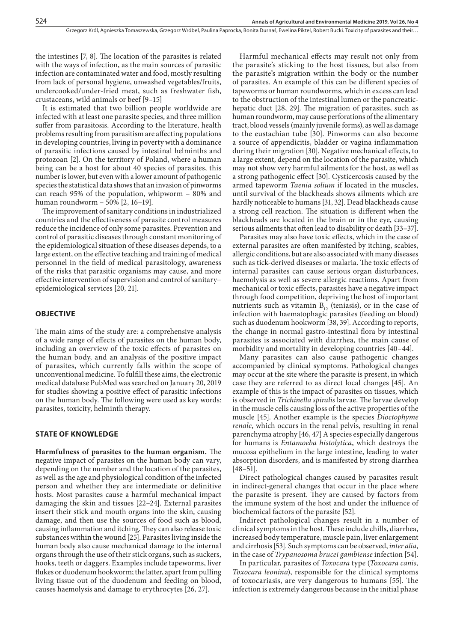the intestines [7, 8]. The location of the parasites is related with the ways of infection, as the main sources of parasitic infection are contaminated water and food, mostly resulting from lack of personal hygiene, unwashed vegetables/fruits, undercooked/under-fried meat, such as freshwater fish, crustaceans, wild animals or beef [9–15]

It is estimated that two billion people worldwide are infected with at least one parasite species, and three million suffer from parasitosis. According to the literature, health problems resulting from parasitism are affecting populations in developing countries, living in poverty with a dominance of parasitic infections caused by intestinal helminths and protozoan [2]. On the territory of Poland, where a human being can be a host for about 40 species of parasites, this number is lower, but even with a lower amount of pathogenic species the statistical data shows that an invasion of pinworms can reach 95% of the population, whipworm – 80% and human roundworm – 50% [2, 16–19].

The improvement of sanitary conditions in industrialized countries and the effectiveness of parasite control measures reduce the incidence of only some parasites. Prevention and control of parasitic diseases through constant monitoring of the epidemiological situation of these diseases depends, to a large extent, on the effective teaching and training of medical personnel in the field of medical parasitology, awareness of the risks that parasitic organisms may cause, and more effective intervention of supervision and control of sanitary− epidemiological services [20, 21].

#### **OBJECTIVE**

The main aims of the study are: a comprehensive analysis of a wide range of effects of parasites on the human body, including an overview of the toxic effects of parasites on the human body, and an analysis of the positive impact of parasites, which currently falls within the scope of unconventional medicine. To fulfill these aims, the electronic medical database PubMed was searched on January 20, 2019 for studies showing a positive effect of parasitic infections on the human body. The following were used as key words: parasites, toxicity, helminth therapy.

#### **STATE OF KNOWLEDGE**

**Harmfulness of parasites to the human organism.** The negative impact of parasites on the human body can vary, depending on the number and the location of the parasites, as well as the age and physiological condition of the infected person and whether they are intermediate or definitive hosts. Most parasites cause a harmful mechanical impact damaging the skin and tissues [22–24]. External parasites insert their stick and mouth organs into the skin, causing damage, and then use the sources of food such as blood, causing inflammation and itching. They can also release toxic substances within the wound [25]. Parasites living inside the human body also cause mechanical damage to the internal organs through the use of their stick organs, such as suckers, hooks, teeth or daggers. Examples include tapeworms, liver flukes or duodenum hookworm; the latter, apart from pulling living tissue out of the duodenum and feeding on blood, causes haemolysis and damage to erythrocytes [26, 27].

Harmful mechanical effects may result not only from the parasite's sticking to the host tissues, but also from the parasite's migration within the body or the number of parasites. An example of this can be different species of tapeworms or human roundworms, which in excess can lead to the obstruction of the intestinal lumen or the pancreatichepatic duct [28, 29]. The migration of parasites, such as human roundworm, may cause perforations of the alimentary tract, blood vessels (mainly juvenile forms), as well as damage to the eustachian tube [30]. Pinworms can also become a source of appendicitis, bladder or vagina inflammation during their migration [30]. Negative mechanical effects, to a large extent, depend on the location of the parasite, which may not show very harmful ailments for the host, as well as a strong pathogenic effect [30]. Cysticercosis caused by the armed tapeworm *Taenia solium* if located in the muscles, until survival of the blackheads shows ailments which are hardly noticeable to humans [31, 32]. Dead blackheads cause a strong cell reaction. The situation is different when the blackheads are located in the brain or in the eye, causing serious ailments that often lead to disability or death [33–37].

Parasites may also have toxic effects, which in the case of external parasites are often manifested by itching, scabies, allergic conditions, but are also associated with many diseases such as tick-derived diseases or malaria. The toxic effects of internal parasites can cause serious organ disturbances, haemolysis as well as severe allergic reactions. Apart from mechanical or toxic effects, parasites have a negative impact through food competition, depriving the host of important nutrients such as vitamin  $B_{12}$  (teniasis), or in the case of infection with haematophagic parasites (feeding on blood) such as duodenum hookworm [38, 39]. According to reports, the change in normal gastro-intestinal flora by intestinal parasites is associated with diarrhea, the main cause of morbidity and mortality in developing countries [40–44].

Many parasites can also cause pathogenic changes accompanied by clinical symptoms. Pathological changes may occur at the site where the parasite is present, in which case they are referred to as direct local changes [45]. An example of this is the impact of parasites on tissues, which is observed in *Trichinella spiralis* larvae. The larvae develop in the muscle cells causing loss of the active properties of the muscle [45]. Another example is the species *Dioctophyme renale*, which occurs in the renal pelvis, resulting in renal parenchyma atrophy [46, 47] A species especially dangerous for humans is *Entamoeba histolytica*, which destroys the mucosa epithelium in the large intestine, leading to water absorption disorders, and is manifested by strong diarrhea [48–51].

Direct pathological changes caused by parasites result in indirect-general changes that occur in the place where the parasite is present. They are caused by factors from the immune system of the host and under the influence of biochemical factors of the parasite [52].

Indirect pathological changes result in a number of clinical symptoms in the host. These include chills, diarrhea, increased body temperature, muscle pain, liver enlargement and cirrhosis [53]. Such symptoms can be observed, *inter alia*, in the case of *Trypanosoma brucei gambiense* infection [54].

In particular, parasites of *Toxocara* type (*Toxocara canis, Toxocara leonina*), responsible for the clinical symptoms of toxocariasis, are very dangerous to humans [55]. The infection is extremely dangerous because in the initial phase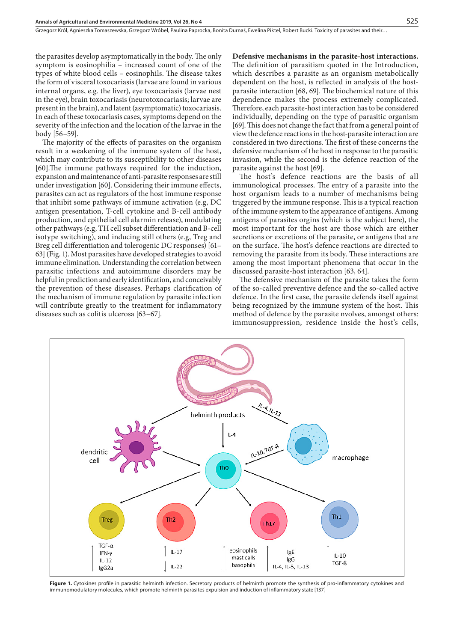the parasites develop asymptomatically in the body. The only symptom is eosinophilia – increased count of one of the types of white blood cells – eosinophils. The disease takes the form of visceral toxocariasis (larvae are found in various internal organs, e.g. the liver), eye toxocariasis (larvae nest in the eye), brain toxocariasis (neurotoxocariasis; larvae are present in the brain), and latent (asymptomatic) toxocariasis. In each of these toxocariasis cases, symptoms depend on the severity of the infection and the location of the larvae in the body [56–59].

The majority of the effects of parasites on the organism result in a weakening of the immune system of the host, which may contribute to its susceptibility to other diseases [60].The immune pathways required for the induction, expansion and maintenance of anti-parasite responses are still under investigation [60]. Considering their immune effects, parasites can act as regulators of the host immune response that inhibit some pathways of immune activation (e.g, DC antigen presentation, T-cell cytokine and B-cell antibody production, and epithelial cell alarmin release), modulating other pathways (e.g, TH cell subset differentiation and B-cell isotype switching), and inducing still others (e.g, Treg and Breg cell differentiation and tolerogenic DC responses) [61– 63] (Fig. 1). Most parasites have developed strategies to avoid immune elimination. Understanding the correlation between parasitic infections and autoimmune disorders may be helpful in prediction and early identification, and conceivably the prevention of these diseases. Perhaps clarification of the mechanism of immune regulation by parasite infection will contribute greatly to the treatment for inflammatory diseases such as colitis ulcerosa [63–67].

**Defensive mechanisms in the parasite-host interactions.** The definition of parasitism quoted in the Introduction, which describes a parasite as an organism metabolically dependent on the host, is reflected in analysis of the hostparasite interaction [68, 69]. The biochemical nature of this dependence makes the process extremely complicated. Therefore, each parasite-host interaction has to be considered individually, depending on the type of parasitic organism [69]. This does not change the fact that from a general point of view the defence reactions in the host-parasite interaction are considered in two directions. The first of these concerns the defensive mechanism of the host in response to the parasitic invasion, while the second is the defence reaction of the parasite against the host [69].

The host's defence reactions are the basis of all immunological processes. The entry of a parasite into the host organism leads to a number of mechanisms being triggered by the immune response. This is a typical reaction of the immune system to the appearance of antigens. Among antigens of parasites orgins (which is the subject here), the most important for the host are those which are either secretions or excretions of the parasite, or antigens that are on the surface. The host's defence reactions are directed to removing the parasite from its body. These interactions are among the most important phenomena that occur in the discussed parasite-host interaction [63, 64].

The defensive mechanism of the parasite takes the form of the so-called preventive defence and the so-called active defence. In the first case, the parasite defends itself against being recognized by the immune system of the host. This method of defence by the parasite nvolves, amongst others: immunosuppression, residence inside the host's cells,



Figure 1. Cytokines profile in parasitic helminth infection. Secretory products of helminth promote the synthesis of pro-inflammatory cytokines and immunomodulatory molecules, which promote helminth parasites expulsion and induction of inflammatory state [137]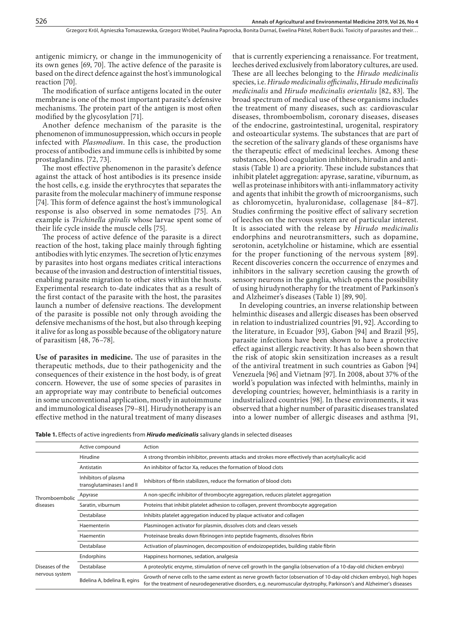antigenic mimicry, or change in the immunogenicity of its own genes [69, 70]. The active defence of the parasite is based on the direct defence against the host's immunological reaction [70].

The modification of surface antigens located in the outer membrane is one of the most important parasite's defensive mechanisms. The protein part of the antigen is most often modified by the glycosylation [71].

Another defence mechanism of the parasite is the phenomenon of immunosuppression, which occurs in people infected with *Plasmodium*. In this case, the production process of antibodies and immune cells is inhibited by some prostaglandins. [72, 73].

The most effective phenomenon in the parasite's defence against the attack of host antibodies is its presence inside the host cells, e.g. inside the erythrocytes that separates the parasite from the molecular machinery of immune response [74]. This form of defence against the host's immunological response is also observed in some nematodes [75]. An example is *Trichinella spiralis* whose larvae spent some of their life cycle inside the muscle cells [75].

The process of active defence of the parasite is a direct reaction of the host, taking place mainly through fighting antibodies with lytic enzymes. The secretion of lytic enzymes by parasites into host organs mediates critical interactions because of the invasion and destruction of interstitial tissues, enabling parasite migration to other sites within the hosts. Experimental research to-date indicates that as a result of the first contact of the parasite with the host, the parasites launch a number of defensive reactions. The development of the parasite is possible not only through avoiding the defensive mechanisms of the host, but also through keeping it alive for as long as possible because of the obligatory nature of parasitism [48, 76–78].

**Use of parasites in medicine.** The use of parasites in the therapeutic methods, due to their pathogenicity and the consequences of their existence in the host body, is of great concern. However, the use of some species of parasites in an appropriate way may contribute to beneficial outcomes in some unconventional application, mostly in autoimmune and immunological diseases [79–81]. Hirudynotherapy is an effective method in the natural treatment of many diseases that is currently experiencing a renaissance. For treatment, leeches derived exclusively from laboratory cultures, are used. These are all leeches belonging to the *Hirudo medicinalis* species, i.e. *Hirudo medicinalis officinalis*, *Hirudo medicinalis medicinalis* and *Hirudo medicinalis orientalis* [82, 83]. The broad spectrum of medical use of these organisms includes the treatment of many diseases, such as: cardiovascular diseases, thromboembolism, coronary diseases, diseases of the endocrine, gastrointestinal, urogenital, respiratory and osteoarticular systems. The substances that are part of the secretion of the salivary glands of these organisms have the therapeutic effect of medicinal leeches. Among these substances, blood coagulation inhibitors, hirudin and antistasis (Table 1) are a priority. These include substances that inhibit platelet aggregation: apyrase, saratine, viburnum, as well as proteinase inhibitors with anti-inflammatory activity and agents that inhibit the growth of microorganisms, such as chloromycetin, hyaluronidase, collagenase [84–87]. Studies confirming the positive effect of salivary secretion of leeches on the nervous system are of particular interest. It is associated with the release by *Hirudo medicinalis* endorphins and neurotransmitters, such as dopamine, serotonin, acetylcholine or histamine, which are essential for the proper functioning of the nervous system [89]. Recent discoveries concern the occurrence of enzymes and inhibitors in the salivary secretion causing the growth of sensory neurons in the ganglia, which opens the possibility of using hirudynotheraphy for the treatment of Parkinson's and Alzheimer's diseases (Table 1) [89, 90].

In developing countries, an inverse relationship between helminthic diseases and allergic diseases has been observed in relation to industrialized countries [91, 92]. According to the literature, in Ecuador [93], Gabon [94] and Brazil [95], parasite infections have been shown to have a protective effect against allergic reactivity. It has also been shown that the risk of atopic skin sensitization increases as a result of the antiviral treatment in such countries as Gabon [94] Venezuela [96] and Vietnam [97]. In 2008, about 37% of the world's population was infected with helminths, mainly in developing countries; however, helminthiasis is a rarity in industrialized countries [98]. In these environments, it was observed that a higher number of parasitic diseases translated into a lower number of allergic diseases and asthma [91,

**Table 1.** Effects of active ingredients from *Hirudo medicinalis* salivary glands in selected diseases

|                                   | Active compound                                    | Action                                                                                                                                                                                                                                         |
|-----------------------------------|----------------------------------------------------|------------------------------------------------------------------------------------------------------------------------------------------------------------------------------------------------------------------------------------------------|
| Thromboembolic<br>diseases        | Hirudine                                           | A strong thrombin inhibitor, prevents attacks and strokes more effectively than acetylsalicylic acid                                                                                                                                           |
|                                   | Antistatin                                         | An inhibitor of factor Xa, reduces the formation of blood clots                                                                                                                                                                                |
|                                   | Inhibitors of plasma<br>transglutaminases I and II | Inhibitors of fibrin stabilizers, reduce the formation of blood clots                                                                                                                                                                          |
|                                   | Apyrase                                            | A non-specific inhibitor of thrombocyte aggregation, reduces platelet aggregation                                                                                                                                                              |
|                                   | Saratin, viburnum                                  | Proteins that inhibit platelet adhesion to collagen, prevent thrombocyte aggregation                                                                                                                                                           |
|                                   | Destabilase                                        | Inhibits platelet aggregation induced by plaque activator and collagen                                                                                                                                                                         |
|                                   | Haementerin                                        | Plasminogen activator for plasmin, dissolves clots and clears vessels                                                                                                                                                                          |
|                                   | Haementin                                          | Proteinase breaks down fibrinogen into peptide fragments, dissolves fibrin                                                                                                                                                                     |
|                                   | Destabilase                                        | Activation of plasminogen, decomposition of endoizopeptides, building stable fibrin                                                                                                                                                            |
| Diseases of the<br>nervous system | Endorphins                                         | Happiness hormones, sedation, analgesia                                                                                                                                                                                                        |
|                                   | Destabilase                                        | A proteolytic enzyme, stimulation of nerve cell growth In the ganglia (observation of a 10-day-old chicken embryo)                                                                                                                             |
|                                   | Bdelina A, bdelina B, egins                        | Growth of nerve cells to the same extent as nerve growth factor (observation of 10-day-old chicken embryo), high hopes<br>for the treatment of neurodegenerative disorders, e.g. neuromuscular dystrophy, Parkinson's and Alzheimer's diseases |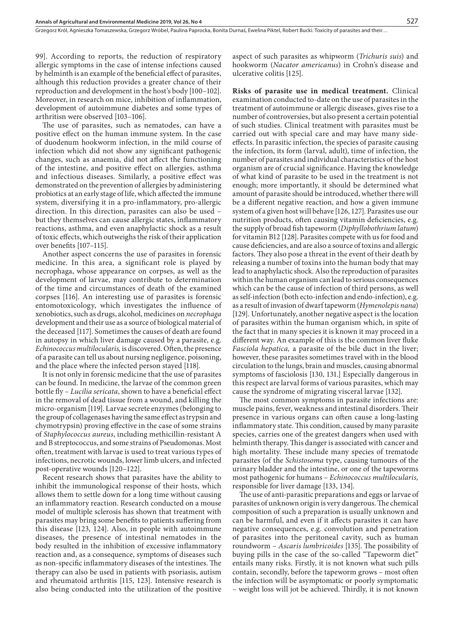Grzegorz Król, Agnieszka Tomaszewska, Grzegorz Wróbel, Paulina Paprocka, Bonita Durnaś, Ewelina Piktel, Robert Bucki, Toxicity of parasites and their...

99]. According to reports, the reduction of respiratory allergic symptoms in the case of intense infections caused by helminth is an example of the beneficial effect of parasites, although this reduction provides a greater chance of their reproduction and development in the host's body [100–102]. Moreover, in research on mice, inhibition of inflammation, development of autoimmune diabetes and some types of arthritisn were observed [103–106].

The use of parasites, such as nematodes, can have a positive effect on the human immune system. In the case of duodenum hookworm infection, in the mild course of infection which did not show any significant pathogenic changes, such as anaemia, did not affect the functioning of the intestine, and positive effect on allergies, asthma and infectious diseases. Similarly, a positive effect was demonstrated on the prevention of allergies by administering probiotics at an early stage of life, which affected the immune system, diversifying it in a pro-inflammatory, pro-allergic direction. In this direction, parasites can also be used – but they themselves can cause allergic states, inflammatory reactions, asthma, and even anaphylactic shock as a result of toxic effects, which outweighs the risk of their application over benefits [107–115].

Another aspect concerns the use of parasites in forensic medicine. In this area, a significant role is played by necrophaga, whose appearance on corpses, as well as the development of larvae, may contribute to determination of the time and circumstances of death of the examined corpses [116]. An interesting use of parasites is forensic entomotoxicology, which investigates the influence of xenobiotics, such as drugs, alcohol, medicines on *necrophaga*  development and their use as a source of biological material of the deceased [117]. Sometimes the causes of death are found in autopsy in which liver damage caused by a parasite, e.g. *Echinococcus multilocularis,* is discovered. Often, the presence of a parasite can tell us about nursing negligence, poisoning, and the place where the infected person stayed [118].

It is not only in forensic medicine that the use of parasites can be found. In medicine, the larvae of the common green bottle fly – *Lucilia sericata*, shown to have a beneficial effect in the removal of dead tissue from a wound, and killing the micro-organism [119]. Larvae secrete enzymes (belonging to the group of collagenases having the same effect as trypsin and chymotrypsin) proving effective in the case of some strains of *Staphylococcus aureus*, including methicillin-resistant A and B streptococcus, and some strains of Pseudomonas. Most often, treatment with larvae is used to treat various types of infections, necrotic wounds, lower limb ulcers, and infected post-operative wounds [120–122].

Recent research shows that parasites have the ability to inhibit the immunological response of their hosts, which allows them to settle down for a long time without causing an inflammatory reaction. Research conducted on a mouse model of multiple sclerosis has shown that treatment with parasites may bring some benefits to patients suffering from this disease [123, 124]. Also, in people with autoimmune diseases, the presence of intestinal nematodes in the body resulted in the inhibition of excessive inflammatory reaction and, as a consequence, symptoms of diseases such as non-specific inflammatory diseases of the intestines. The therapy can also be used in patients with psoriasis, autism and rheumatoid arthritis [115, 123]. Intensive research is also being conducted into the utilization of the positive

aspect of such parasites as whipworm (*Trichuris suis*) and hookworm (*Nacator americanus*) in Crohn's disease and ulcerative colitis [125].

**Risks of parasite use in medical treatment.** Clinical examination conducted to-date on the use of parasites in the treatment of autoimmune or allergic diseases, gives rise to a number of controversies, but also present a certain potential of such studies. Clinical treatment with parasites must be carried out with special care and may have many sideeffects. In parasitic infection, the species of parasite causing the infection, its form (larval, adult), time of infection, the number of parasites and individual characteristics of the host organism are of crucial significance. Having the knowledge of what kind of parasite to be used in the treatment is not enough; more importantly, it should be determined what amount of parasite should be introduced, whether there will be a different negative reaction, and how a given immune system of a given host will behave [126, 127]. Parasites use our nutrition products, often causing vitamin deficiencies, e.g. the supply of broad fish tapeworm (*Diphyllobothrium latum*) for vitamin B12 [128]. Parasites compete with us for food and cause deficiencies, and are also a source of toxins and allergic factors. They also pose a threat in the event of their death by releasing a number of toxins into the human body that may lead to anaphylactic shock. Also the reproduction of parasites within the human organism can lead to serious consequences which can be the cause of infection of third persons, as well as self-infection (both ecto-infection and endo-infection), e.g. as a result of invasion of dwarf tapeworm (*Hymenolepis nana*) [129]. Unfortunately, another negative aspect is the location of parasites within the human organism which, in spite of the fact that in many species it is known it may proceed in a different way. An example of this is the common liver fluke *Fasciola hepatica,* a parasite of the bile duct in the liver; however, these parasites sometimes travel with in the blood circulation to the lungs, brain and muscles, causing abnormal symptoms of fasciolosis [130, 131.] Especially dangerous in this respect are larval forms of various parasites, which may cause the syndrome of migrating visceral larvae [132].

The most common symptoms in parasite infections are: muscle pains, fever, weakness and intestinal disorders. Their presence in various organs can often cause a long-lasting inflammatory state. This condition, caused by many parasite species, carries one of the greatest dangers when used with helminth therapy. This danger is associated with cancer and high mortality. These include many species of trematode parasites (of the *Schistosoma* type, causing tumours of the urinary bladder and the intestine, or one of the tapeworms most pathogenic for humans – *Echinococcus multilocularis,*  responsible for liver damage [133, 134].

The use of anti-parasitic preparations and eggs or larvae of parasites of unknown origin is very dangerous. The chemical composition of such a preparation is usually unknown and can be harmful, and even if it affects parasites it can have negative consequences, e.g. convolution and penetration of parasites into the peritoneal cavity, such as human roundworm – *Ascaris lumbricoides* [135]. The possibility of buying pills in the case of the so-called "Tapeworm diet" entails many risks. Firstly, it is not known what such pills contain, secondly, before the tapeworm grows – most often the infection will be asymptomatic or poorly symptomatic – weight loss will jot be achieved. Thirdly, it is not known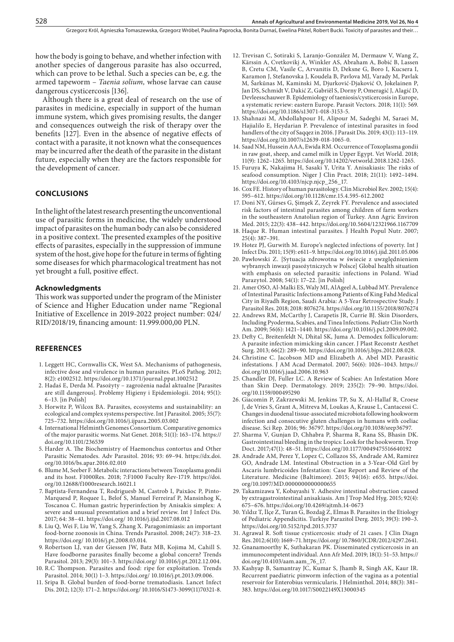Grzegorz Król, Agnieszka Tomaszewska, Grzegorz Wróbel, Paulina Paprocka, Bonita Durnaś, Ewelina Piktel, Robert Bucki, Toxicity of parasites and their...

how the body is going to behave, and whether infection with another species of dangerous parasite has also occurred, which can prove to be lethal. Such a species can be, e.g. the armed tapeworm – *Taenia solium,* whose larvae can cause dangerous cysticercosis [136].

Although there is a great deal of research on the use of parasites in medicine, especially in support of the human immune system, which gives promising results, the danger and consequences outweigh the risk of therapy over the benefits [127]. Even in the absence of negative effects of contact with a parasite, it not known what the consequences may be incurred after the death of the parasite in the distant future, especially when they are the factors responsible for the development of cancer.

#### **CONCLUSIONS**

In the light of the latest research presenting the unconventional use of parasitic forms in medicine, the widely understood impact of parasites on the human body can also be considered in a positive context. The presented examples of the positive effects of parasites, especially in the suppression of immune system of the host, give hope for the future in terms of fighting some diseases for which pharmacological treatment has not yet brought a full, positive effect.

#### **Acknowledgments**

This work was supported under the program of the Minister of Science and Higher Education under name "Regional Initiative of Excellence in 2019-2022 project number: 024/ RID/2018/19, financing amount: 11.999.000,00 PLN.

#### **REFERENCES**

- 1. Leggett HC, Cornwallis CK, West SA. Mechanisms of pathogenesis, infective dose and virulence in human parasites. PLoS Pathog. 2012; 8(2): e1002512. https://doi.org/10.1371/journal.ppat.1002512
- 2. Hadaś E, Derda M. Pasożyty zagrożenia nadal aktualne [Parasites are still dangerous]. Problemy Higieny i Epidemiologii. 2014; 95(1): 6–13. [in Polish]
- 3. Horwitz P, Wilcox BA. Parasites, ecosystems and sustainability: an ecological and complex systems perspective. Int J Parasitol. 2005; 35(7): 725–732. https://doi.org/10.1016/j.ijpara.2005.03.002
- 4. International Helminth Genomes Consortium. Comparative genomics of the major parasitic worms. Nat Genet. 2018; 51(1): 163–174. https:// doi.org/10.1101/236539
- 5. Harder A. The Biochemistry of Haemonchus contortus and Other Parasitic Nematodes. Adv Parasitol. 2016; 93: 69–94. https://dx.doi. org/10.1016/bs.apar.2016.02.010
- 6. Blume M, Seeber F. Metabolic interactions between Toxoplasma gondii and its host. F1000Res. 2018; 7:F1000 Faculty Rev-1719. https://doi. org/10.12688/f1000research.16021.1
- 7. Baptista-Fernandesa T, Rodriguesb M, Castrob I, Paixãoc P, Pinto-Marquesd P, Roquee L, Belof S, Manuel Ferreiraf P, Mansinhog K, Toscanoa C. Human gastric hyperinfection by Anisakis simplex: A severe and unusual presentation and a brief review. Int J Infect Dis. 2017; 64: 38–41. https://doi.org/ 10.1016/j.ijid.2017.08.012
- 8. Liu Q, Wei F, Liu W, Yang S, Zhang X. Paragonimiasis: an important food-borne zoonosis in China. Trends Parasitol. 2008; 24(7): 318–23. https://doi.org/ 10.1016/j.pt.2008.03.014.
- 9. Robertson LJ, van der Giessen JW, Batz MB, Kojima M, Cahill S. Have foodborne parasites finally become a global concern? Trends Parasitol. 2013; 29(3): 101–3. https://doi.org/ 10.1016/j.pt.2012.12.004.
- 10. R.C Thompson. Parasites and food: ripe for exploitation. Trends Parasitol. 2014; 30(1) 1–3. https://doi.org/ 10.1016/j.pt.2013.09.006.
- 11. Sripa B. Global burden of food-borne trematodiasis. Lancet Infect Dis. 2012; 12(3): 171–2. https://doi.org/ 10.1016/S1473-3099(11)70321-8.
- 12. Trevisan C, Sotiraki S, Laranjo-González M, Dermauw V, Wang Z, Kärssin A, Cvetkovikj A, Winkler AS, Abraham A, Bobić B, Lassen B, Cretu CM, Vasile C, Arvanitis D, Deksne G, Boro I, Kucsera I, Karamon J, Stefanovska J, Koudela B, Pavlova MJ, Varady M, Pavlak M, Šarkūnas M, Kaminski M, Djurković-Djaković O, Jokelainen P, Jan DS, Schmidt V, Dakić Z, Gabriël S, Dorny P, Omeragić J, Alagić D, Devleesschauwer B. Epidemiology of taeniosis/cysticercosis in Europe, a systematic review: eastern Europe. Parasit Vectors. 2018; 11(1): 569. https://doi.org/10.1186/s13071-018-3153-5.
- 13. Shahnazi M, Abdollahpour H, Alipour M, Sadeghi M, Saraei M, Hajialilo E, Heydarian P. Prevalence of intestinal parasites in food handlers of the city of Saqqez in 2016. J Parasit Dis. 2019; 43(1): 113–119. https://doi.org/10.1007/s12639-018-1065-0.
- 14. Saad NM, Hussein AAA, Ewida RM. Occurrence of Toxoplasma gondii in raw goat, sheep, and camel milk in Upper Egypt. Vet World. 2018; 11(9): 1262–1265. https://doi.org/10.14202/vetworld.2018.1262-1265.
- 15. Furuya K, Nakajima H, Sasaki Y, Urita Y. Anisakiasis: The risks of seafood consumption. Niger J Clin Pract. 2018; 21(11): 1492–1494. https://doi.org/10.4103/njcp.njcp\_256\_17.
- 16. Cox FE. History of human parasitology. Clin Microbiol Rev. 2002; 15(4): 595–612. https://doi.org/10.1128/cmr.15.4.595-612.2002
- 17. Doni NY, Gürses G, Şimşek Z, Zeyrek FY. Prevalence and associated risk factors of intestinal parasites among children of farm workers in the southeastern Anatolian region of Turkey. Ann Agric Environ Med. 2015; 22(3): 438–442. https://doi.org/10.5604/12321966.1167709
- 18. Haque R. Human intestinal parasites. J Health Popul Nutr. 2007; 25(4): 387–391.
- 19. Hotez PJ, Gurwith M. Europe's neglected infections of poverty. Int J Infect Dis. 2011; 15(9): e611–9. https://doi.org/10.1016/j.ijid.2011.05.006
- 20. Pawłowski Z. [Sytuacja zdrowotna w świecie z uwzględnieniem wybranych inwazji pasożytniczych w Polsce] Global health situation with emphasis on selected parasitic infections in Poland. Wiad Parazytol. 2008; 54(1): 17–22. [in Polish]
- 21. Amer OSO, Al-Malki ES, Waly MI, AlAgeel A, Lubbad MY. Prevalence of Intestinal Parasitic Infections among Patients of King Fahd Medical City in Riyadh Region, Saudi Arabia: A 5-Year Retrospective Study. J Parasitol Res. 2018; 2018: 8076274. https://doi.org/10.1155/2018/8076274
- 22. Andrews RM, McCarthy J, Carapetis JR, Currie BJ. Skin Disorders, Including Pyoderma, Scabies, and Tinea Infections. Pediatr Clin North Am. 2009; 56(6): 1421–1440. <https://doi.org/>10.1016/j.pcl.2009.09.002.
- 23. Defty C, Breitenfeldt N, Dhital SK, Juma A. Demodex folliculorum: A parasite infection mimicking skin cancer. J Plast Reconstr Aesthet Surg. 2013; 66(2): 289–90. https://doi.org/10.1016/j.bjps.2012.08.028.
- 24. Christine C. Jacobson MD and Elizabeth A. Abel MD. Parasitic infestations. J AM Acad Dermatol. 2007; 56(6): 1026–1043. https:// doi.org/10.1016/j.jaad.2006.10.963
- 25. [Chandler DJ,](https://www.ncbi.nlm.nih.gov/pubmed/?term=Chandler DJ%5BAuthor%5D&cauthor=true&cauthor_uid=30544123) [Fuller LC](https://www.ncbi.nlm.nih.gov/pubmed/?term=Fuller LC%5BAuthor%5D&cauthor=true&cauthor_uid=30544123). A Review of Scabies: An Infestation More than Skin Deep. [Dermatology.](https://www.ncbi.nlm.nih.gov/pubmed/30544123)  2019; 235(2): 79–90. https://doi. org/10.1159/000495290
- 26. [Giacomin P](https://www.ncbi.nlm.nih.gov/pubmed/?term=Giacomin P%5BAuthor%5D&cauthor=true&cauthor_uid=27827438), [Zakrzewski M](https://www.ncbi.nlm.nih.gov/pubmed/?term=Zakrzewski M%5BAuthor%5D&cauthor=true&cauthor_uid=27827438), [Jenkins TP,](https://www.ncbi.nlm.nih.gov/pubmed/?term=Jenkins TP%5BAuthor%5D&cauthor=true&cauthor_uid=27827438) [Su X,](https://www.ncbi.nlm.nih.gov/pubmed/?term=Su X%5BAuthor%5D&cauthor=true&cauthor_uid=27827438) [Al-Hallaf R](https://www.ncbi.nlm.nih.gov/pubmed/?term=Al-Hallaf R%5BAuthor%5D&cauthor=true&cauthor_uid=27827438), [Croese](https://www.ncbi.nlm.nih.gov/pubmed/?term=Croese J%5BAuthor%5D&cauthor=true&cauthor_uid=27827438)  [J](https://www.ncbi.nlm.nih.gov/pubmed/?term=Croese J%5BAuthor%5D&cauthor=true&cauthor_uid=27827438), [de Vries S,](https://www.ncbi.nlm.nih.gov/pubmed/?term=de Vries S%5BAuthor%5D&cauthor=true&cauthor_uid=27827438) [Grant A,](https://www.ncbi.nlm.nih.gov/pubmed/?term=Grant A%5BAuthor%5D&cauthor=true&cauthor_uid=27827438) [Mitreva M,](https://www.ncbi.nlm.nih.gov/pubmed/?term=Mitreva M%5BAuthor%5D&cauthor=true&cauthor_uid=27827438) [Loukas A,](https://www.ncbi.nlm.nih.gov/pubmed/?term=Loukas A%5BAuthor%5D&cauthor=true&cauthor_uid=27827438) [Krause L,](https://www.ncbi.nlm.nih.gov/pubmed/?term=Krause L%5BAuthor%5D&cauthor=true&cauthor_uid=27827438) [Cantacessi C.](https://www.ncbi.nlm.nih.gov/pubmed/?term=Cantacessi C%5BAuthor%5D&cauthor=true&cauthor_uid=27827438) Changes in duodenal tissue-associated microbiota following hookworm infection and consecutive gluten challenges in humans with coeliac disease. Sci Rep. 2016; 96: 36797. https://doi.org**/**10.1038/srep36797.
- 27. Sharma V, Gunjan D, Chhabra P, Sharma R, Rana SS, Bhasin DK. Gastrointestinal bleeding in the tropics: Look for the hookworm. Trop Doct. 2017;47(1): 48–51. https://doi.org/[10.1177/0049475516640192](https://doi.org/10.1177/0049475516640192)
- 28. Andrade AM, Perez Y, Lopez C, Collazos SS, Andrade AM, Ramirez GO, Andrade LM. Intestinal Obstruction in a 3-Year-Old Girl by Ascaris lumbricoides Infestation: Case Report and Review of the Literature. [Medicine \(Baltimore\).](https://www.ncbi.nlm.nih.gov/pubmed/?term=Andrade+AM%2C+Perez+Y%2C+Lopez+C%2C+Collazos+SS%2C+Andrade+AM%2C+Ramirez+GO%2C+Andrade+LM.) 2015; 94(16): e655. https://doi. org/10.1097/MD.0000000000000655
- 29. Takamizawa Y, Kobayashi Y. [Adhesive intestinal obstruction caused](https://www.ncbi.nlm.nih.gov/pubmed/25834032)  [by extragastrointestinal anisakiasis.](https://www.ncbi.nlm.nih.gov/pubmed/25834032) Am J Trop Med Hyg. 2015; 92(4): 675–676. https://doi.org/10.4269/ajtmh.14-0673
- 30. Yıldız T, [İlçe Z](https://www.ncbi.nlm.nih.gov/pubmed/?term=%C4%B0l%C3%A7e Z%5BAuthor%5D&cauthor=true&cauthor_uid=26470923), [Turan G](https://www.ncbi.nlm.nih.gov/pubmed/?term=Turan G%5BAuthor%5D&cauthor=true&cauthor_uid=26470923), [Bozdağ Z](https://www.ncbi.nlm.nih.gov/pubmed/?term=Bozda%C4%9F Z%5BAuthor%5D&cauthor=true&cauthor_uid=26470923), [Elmas B](https://www.ncbi.nlm.nih.gov/pubmed/?term=Elmas B%5BAuthor%5D&cauthor=true&cauthor_uid=26470923). Parasites in the Etiology of Pediatric Appendicitis. [Turkiye Parazitol Derg.](https://www.ncbi.nlm.nih.gov/pubmed/26470923) 2015; 39(3): 190–3. https://doi.org/10.5152/tpd.2015.3737
- 31. [Agrawal R](https://www.ncbi.nlm.nih.gov/pubmed/?term=Agrawal R%5BAuthor%5D&cauthor=true&cauthor_uid=23373024). Soft tissue cysticercosis: study of 21 cases. [J Clin Diagn](https://www.ncbi.nlm.nih.gov/pubmed/23373024)  [Res.](https://www.ncbi.nlm.nih.gov/pubmed/23373024) 2012; 6(10): 1669–71. https://doi.org/ 10.7860/JCDR/2012/4297.2641.
- 32. [Gnanamoorthy K,](https://www.ncbi.nlm.nih.gov/pubmed/?term=Gnanamoorthy K%5BAuthor%5D&cauthor=true&cauthor_uid=30729934) [Suthakaran PK](https://www.ncbi.nlm.nih.gov/pubmed/?term=Suthakaran PK%5BAuthor%5D&cauthor=true&cauthor_uid=30729934). Disseminated cysticercosis in an immunocompetent individual. [Ann Afr Med.](https://www.ncbi.nlm.nih.gov/pubmed/30729934) 2019; 18(1): 51–53. https:// doi.org/10.4103/aam.aam\_76\_17.
- 33. Kashyap B, Samantray JC, Kumar S, Jhamb R, Singh AK, Kaur IR. Recurrent paediatric pinworm infection of the vagina as a potential reservoir for Enterobius vermicularis. J Helminthol. 2014; 88(3): 381– 383. https://doi.org/10.1017/S0022149X13000345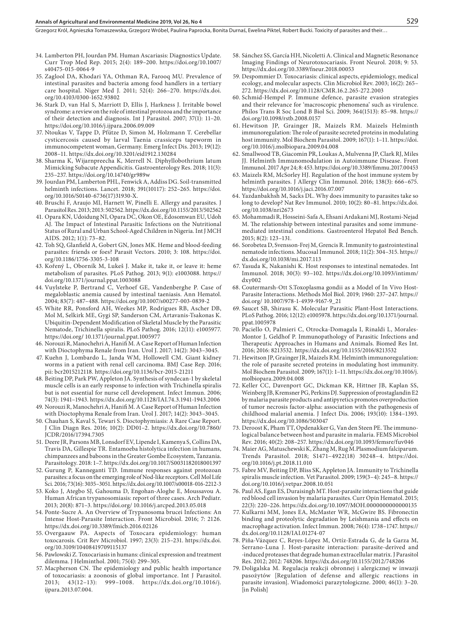#### **Annals of Agricultural and Environmental Medicine 2019, Vol 26, No 4** 529

Grzegorz Król, Agnieszka Tomaszewska, Grzegorz Wróbel, Paulina Paprocka, Bonita Durnaś, Ewelina Piktel, Robert Bucki, Toxicity of parasites and their...

- 34. Lamberton PH, Jourdan PM. Human Ascariasis: Diagnostics Update. Curr Trop Med Rep. 2015; 2(4): 189–200. https://doi.org/10.1007/ s40475-015-0064-9
- 35. Zaglool DA, Khodari YA, Othman RA, Farooq MU. Prevalence of intestinal parasites and bacteria among food handlers in a tertiary care hospital. Niger Med J. 2011; 52(4): 266–270. https://dx.doi. org/10.4103/0300-1652.93802
- 36. Stark D, van Hal S, Marriott D, Ellis J, Harkness J. Irritable bowel syndrome: a review on the role of intestinal protozoa and the importance of their detection and diagnosis. Int J Parasitol. 2007; 37(1): 11–20. https://doi.org/10.1016/j.ijpara.2006.09.009
- 37. Ntoukas V, Tappe D, Pfütze D, Simon M, Holzmann T. Cerebellar cysticercosis caused by larval Taenia crassiceps tapeworm in immunocompetent woman, Germany. Emerg Infect Dis. 2013; 19(12): 2008–11. https://dx.doi.org/10.3201/eid1912.130284
- 38. Sharma K, Wijarnpreecha K, Merrell N. Diphyllobothrium latum Mimicking Subacute Appendicitis. Gastroenterology Res. 2018; 11(3): 235–237. https://doi.org/10.14740/gr989w
- 39. Jourdan PM, Lamberton PHL, Fenwick A, Addiss DG. [Soil-transmitted](https://www.ncbi.nlm.nih.gov/pubmed/28882382) [helminth infections.](https://www.ncbi.nlm.nih.gov/pubmed/28882382) Lancet. 2018; 391(10117): 252–265. https://doi. org/10.1016/S0140-6736(17)31930-X.
- 40. Bruschi F, Araujo MI, Harnett W, Pinelli E. Allergy and parasites. J Parasitol Res. 2013; 2013: 502562. https://dx.doi.org/10.1155/2013/502562
- 41. Opara KN, Udoidung NI, Opara DC, Okon OE, Edosomwan EU, Udoh AJ. The Impact of Intestinal Parasitic Infections on the Nutritional Status of Rural and Urban School-Aged Children in Nigeria. Int J MCH AIDS. 2012; 1(1): 73–82.
- 42. Toh SQ, Glanfield A, Gobert GN, Jones MK. Heme and blood-feeding parasites: friends or foes? Parasit Vectors. 2010; 3: 108. https://doi. org/10.1186/1756-3305-3-108
- 43. Kořený L, Oborník M, Lukeš J. Make it, take it, or leave it: heme metabolism of parasites. PLoS Pathog. 2013; 9(1): e1003088. https:// doi.org/10.1371/journal.ppat.1003088
- 44. Vuylsteke P, Bertrand C, Verhoef GE, Vandenberghe P. Case of megaloblastic anemia caused by intestinal taeniasis. Ann Hematol. 2004; 83(7): 487–488. https://doi.org/10.1007/s00277-003-0839-2
- 45. White RR, Ponsford AH, Weekes MP, Rodrigues RB, Ascher DB, Mol M, Selkirk ME, Gygi SP, Sanderson CM, Artavanis-Tsakonas K. Ubiquitin-Dependent Modification of Skeletal Muscle by the Parasitic Nematode, Trichinella spiralis. PLoS Pathog. 2016; 12(11): e1005977. https://doi.org**/** 10.1371/journal.ppat.1005977
- 46. Norouzi R, Manochehri A, Hanifi M. A Case Report of Human Infection with Dioctophyma Renale from Iran. Urol J. 2017; 14(2): 3043–3045.
- 47. Kuehn J, Lombardo L, Janda WM, Hollowell CM. Giant kidney worms in a patient with renal cell carcinoma. BMJ Case Rep. 2016; pii: bcr2015212118. https://doi.org/10.1136/bcr-2015-21211
- 48. Beiting DP, Park PW, Appleton JA. Synthesis of syndecan-1 by skeletal muscle cells is an early response to infection with Trichinella spiralis but is not essential for nurse cell development. Infect Immun. 2006; 74(3): 1941–1943. https://dx.doi.org/10.1128/IAI.74.3.1941-1943.2006
- 49. Norouzi R, Manochehri A, Hanifi M. A Case Report of Human Infection with Dioctophyma Renale from Iran. Urol J. 2017; 14(2): 3043–3045.
- 50. Chauhan S, Kaval S, Tewari S. Dioctophymiasis: A Rare Case Report. J Clin Diagn Res. 2016; 10(2): DD01–2. https://dx.doi.org/10.7860/ JCDR/2016/17394.7305
- 51. Deere JR, Parsons MB, Lonsdorf EV, Lipende I, Kamenya S, Collins DA, Travis DA, Gillespie TR. Entamoeba histolytica infection in humans, chimpanzees and baboons in the Greater Gombe Ecosystem, Tanzania. Parasitology. 2018: 1–7. https://dx.doi.org/10.1017/S0031182018001397
- 52. Gurung P, Kanneganti TD. Immune responses against protozoan parasites: a focus on the emerging role of Nod-like receptors. Cell Mol Life Sci. 2016; 73(16): 3035–3051. https://dx.doi.org/10.1007/s00018-016-2212-3
- 53. Koko J, Ategbo SJ, Gahouma D, Engohan-Aloghe E, Moussavou A. Human African trypanosomiasis: report of three cases. Arch Pediatr. 2013; 20(8): 871–3. https://doi.org/ 10.1016/j.arcped.2013.05.018
- 54. Ponte-Sucre A. An Overview of Trypanosoma brucei Infections: An Intense Host-Parasite Interaction. Front Microbiol. 2016; 7: 2126. https://dx.doi.org/10.3389/fmicb.2016.02126
- 55. Overgaauw PA. Aspects of Toxocara epidemiology: human toxocarosis. Crit Rev Microbiol. 1997; 23(3): 215–231. https://dx.doi. org/10.3109/10408419709115137
- 56. Pawlowski Z. Toxocariasis in humans: clinical expression and treatment dilemma. J Helminthol. 2001; 75(4): 299–305.
- 57. Macpherson CN. The epidemiology and public health importance of toxocariasis: a zoonosis of global importance. Int J Parasitol. 2013; 43(12–13): 999–1008. https://dx.doi.org/10.1016/j. ijpara.2013.07.004.
- 58. Sánchez SS, García HH, Nicoletti A. Clinical and Magnetic Resonance Imaging Findings of Neurotoxocariasis. Front Neurol. 2018; 9: 53. https://dx.doi.org/10.3389/fneur.2018.00053
- 59. Despommier D. Toxocariasis: clinical aspects, epidemiology, medical ecology, and molecular aspects. Clin Microbiol Rev. 2003; 16(2): 265– 272. https://dx.doi.org/10.1128/CMR.16.2.265-272.2003
- 60. [Schmid-Hempel](https://www.ncbi.nlm.nih.gov/pubmed/?term=Schmid-Hempel P%5BAuthor%5D&cauthor=true&cauthor_uid=18930879) P. Immune defence, parasite evasion strategies and their relevance for 'macroscopic phenomena' such as virulence. Philos Trans R Soc Lond B Biol Sci. 2009; 364(1513): 85–98. https:// doi.org/10.1098/rstb.2008.0157
- 61. Hewitson JP, Grainger JR, Maizels RM. Maizels Helminth immunoregulation: The role of parasite secreted proteins in modulating host immunity. Mol Biochem Parasitol. 2009; 167(1): 1–11. https://doi. org/10.1016/j.molbiopara.2009.04.008
- 62. [Smallwood TB,](https://www.ncbi.nlm.nih.gov/pubmed/?term=Smallwood TB%5BAuthor%5D&cauthor=true&cauthor_uid=28484453) [Giacomin PR,](https://www.ncbi.nlm.nih.gov/pubmed/?term=Giacomin PR%5BAuthor%5D&cauthor=true&cauthor_uid=28484453) [Loukas A,](https://www.ncbi.nlm.nih.gov/pubmed/?term=Loukas A%5BAuthor%5D&cauthor=true&cauthor_uid=28484453) [Mulvenna JP,](https://www.ncbi.nlm.nih.gov/pubmed/?term=Mulvenna JP%5BAuthor%5D&cauthor=true&cauthor_uid=28484453) [Clark RJ](https://www.ncbi.nlm.nih.gov/pubmed/?term=Clark RJ%5BAuthor%5D&cauthor=true&cauthor_uid=28484453), [Miles](https://www.ncbi.nlm.nih.gov/pubmed/?term=Miles JJ%5BAuthor%5D&cauthor=true&cauthor_uid=28484453)  [JJ](https://www.ncbi.nlm.nih.gov/pubmed/?term=Miles JJ%5BAuthor%5D&cauthor=true&cauthor_uid=28484453). Helminth Immunomodulation in Autoimmune Disease. [Front](https://www.ncbi.nlm.nih.gov/pubmed/?term=Taylor+B.+Smallwood)  [Immunol.](https://www.ncbi.nlm.nih.gov/pubmed/?term=Taylor+B.+Smallwood) 2017 Apr 24; 8: 453. https://doi.org/10.3389/fimmu.2017.00453
- 63. Maizels RM, McSorley HJ. Regulation of the host immune system by helminth parasites. J Allergy Clin Immunol. 2016; 138(3): 666–675. https://doi.org/10.1016/j.jaci.2016.07.007
- 64. Yazdanbakhsh M, Sacks DL. Why does immunity to parasites take so long to develop? Nat Rev Immunol. 2010; 10(2): 80–81. https://dx.doi. org/10.1038/nri2673
- 65. Mohammadi R, Hosseini-Safa A, Ehsani Ardakani MJ, Rostami-Nejad M. The relationship between intestinal parasites and some immunemediated intestinal conditions. Gastroenterol Hepatol Bed Bench. 2015; 8(2): 123–131.
- 66. Sorobetea D, Svensson-Frej M, Grencis R. Immunity to gastrointestinal nematode infections. Mucosal Immunol. 2018; 11(2): 304–315. https:// dx.doi.org/10.1038/mi.2017.113
- 67. Yasuda K, Nakanishi K. Host responses to intestinal nematodes. Int Immunol. 2018; 30(3): 93–102. https://dx.doi.org/10.1093/intimm/ dxy002
- 68. Coutermarsh-Ott S[.Toxoplasma gondii as a Model of In Vivo Host-](https://www.ncbi.nlm.nih.gov/pubmed/30798537)[Parasite Interactions.](https://www.ncbi.nlm.nih.gov/pubmed/30798537) Methods Mol Biol. 2019; 1960: 237–247. https:// doi.org/ 10.1007/978-1-4939-9167-9\_21
- 69. Saucet SB, Shirasu K. Molecular Parasitic Plant-Host Interactions. PLoS Pathog. 2016; 12(12): e1005978. https://dx.doi.org/10.1371/journal. ppat.1005978
- 70. Paciello O, Palmieri C, Otrocka-Domagala I, Rinaldi L, Morales-Montor J, Geldhof P. Immunopathology of Parasitic Infections and Therapeutic Approaches in Humans and Animals. Biomed Res Int. 2016; 2016: 8213532. https://dx.doi.org/10.1155/2016/8213532
- 71. Hewitson JP, Grainger JR, Maizels RM. Helminth immunoregulation: the role of parasite secreted proteins in modulating host immunity. Mol Biochem Parasitol. 2009; 167(1): 1–11. https://dx.doi.org/10.1016/j. molbiopara.2009.04.008
- 72. Keller CC, Davenport GC, Dickman KR, Hittner JB, Kaplan SS, Weinberg JB, Kremsner PG, Perkins DJ. Suppression of prostaglandin E2 by malaria parasite products and antipyretics promotes overproduction of tumor necrosis factor-alpha: association with the pathogenesis of childhood malarial anemia. J Infect Dis. 2006; 193(10): 1384–1393. https://dx.doi.org/10.1086/503047
- 73. Deroost K, Pham TT, Opdenakker G, Van den Steen PE. The immunological balance between host and parasite in malaria. FEMS Microbiol Rev. 2016; 40(2): 208–257. https://dx.doi.org/10.1093/femsre/fuv046
- 74. Maier AG, Matuschewski K, Zhang M, Rug M.[Plasmodium falciparum.](https://www.ncbi.nlm.nih.gov/pubmed/30595467) Trends Parasitol. 2018; S1471–4922(18) 30248–4. https://doi. org/10.1016/j.pt.2018.11.010
- 75. Fabre MV, Beiting DP, Bliss SK, Appleton JA. Immunity to Trichinella spiralis muscle infection. [Vet Parasitol.](https://www.ncbi.nlm.nih.gov/pubmed/19070961) 2009; 159(3–4): 245–8. https:// doi.org/10.1016/j.vetpar.2008.10.051
- 76. Paul AS, Egan ES, Duraisingh MT. Host-parasite interactions that guide red blood cell invasion by malaria parasites. Curr Opin Hematol. 2015; 22(3): 220–226. https://dx.doi.org/10.1097/MOH.0000000000000135
- 77. Kulkarni MM, Jones EA, McMaster WR, McGwire BS. Fibronectin binding and proteolytic degradation by Leishmania and effects on macrophage activation. Infect Immun. 2008; 76(4): 1738–1747. https:// dx.doi.org/10.1128/IAI.01274-07
- 78. Piña-Vázquez C, Reyes-López M, Ortíz-Estrada G, de la Garza M, Serrano-Luna J. Host-parasite interaction: parasite-derived and -induced proteases that degrade human extracellular matrix. J Parasitol Res. 2012; 2012: 748206. https://dx.doi.org/10.1155/2012/748206
- 79. Doligalska M. Regulacja reakcji obronnej i alergicznej w inwazji pasożytów [Regulation of defense and allergic reactions in parasite invasion]. Wiadomości parazytologiczne. 2000; 46(1): 3–20. [in Polish]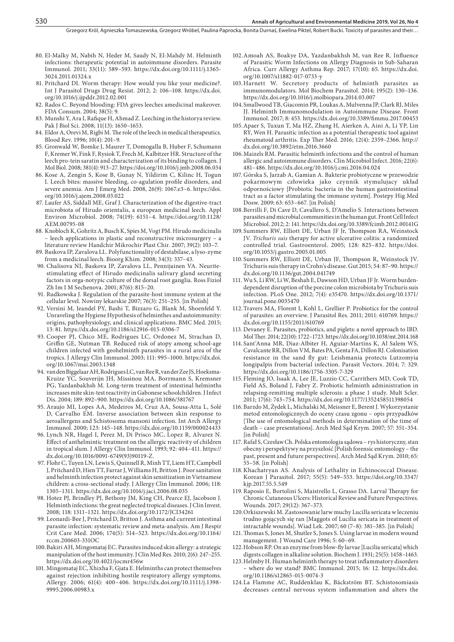#### 530 **Annals of Agricultural and Environmental Medicine 2019, Vol 26, No 4**

- 80. El-Malky M, Nabih N, Heder M, Saudy N, El-Mahdy M. Helminth infections: therapeutic potential in autoimmune disorders. Parasite Immunol. 2011; 33(11): 589–593. https://dx.doi.org/10.1111/j.1365- 3024.2011.01324.x
- 81. Pritchard DI. Worm therapy: How would you like your medicine?. Int J Parasitol Drugs Drug Resist. 2012; 2: 106–108. https://dx.doi. org/10.1016/j.ijpddr.2012.02.001
- 82. Rados C. Beyond blooding: FDA gives leeches amedicinal makeover. [FDA Consum.](https://www.ncbi.nlm.nih.gov/pubmed/15595141) 2004; 38(5): 9.
- 83. [Munshi Y,](https://www.ncbi.nlm.nih.gov/pubmed/?term=Munshi Y%5BAuthor%5D&cauthor=true&cauthor_uid=18819614) [Ara I](https://www.ncbi.nlm.nih.gov/pubmed/?term=Ara I%5BAuthor%5D&cauthor=true&cauthor_uid=18819614), [Rafique H,](https://www.ncbi.nlm.nih.gov/pubmed/?term=Rafique H%5BAuthor%5D&cauthor=true&cauthor_uid=18819614) [Ahmad Z](https://www.ncbi.nlm.nih.gov/pubmed/?term=Ahmad Z%5BAuthor%5D&cauthor=true&cauthor_uid=18819614). Leeching in the historya review. Pak J Biol Sci. 2008; 11(13): 1650–1653.
- 84. [Eldor A,](https://www.ncbi.nlm.nih.gov/pubmed/?term=Eldor A%5BAuthor%5D&cauthor=true&cauthor_uid=9012916) [Orevi M,](https://www.ncbi.nlm.nih.gov/pubmed/?term=Orevi M%5BAuthor%5D&cauthor=true&cauthor_uid=9012916) [Rigbi M](https://www.ncbi.nlm.nih.gov/pubmed/?term=Rigbi M%5BAuthor%5D&cauthor=true&cauthor_uid=9012916). The role of the leech in medical therapeutics. [Blood Rev.](https://www.ncbi.nlm.nih.gov/pubmed/9012916) 1996; 10(4): 201–9.
- 85. [Gronwald W,](https://www.ncbi.nlm.nih.gov/pubmed/?term=Gronwald W%5BAuthor%5D&cauthor=true&cauthor_uid=18585393) [Bomke J](https://www.ncbi.nlm.nih.gov/pubmed/?term=Bomke J%5BAuthor%5D&cauthor=true&cauthor_uid=18585393), [Maurer T](https://www.ncbi.nlm.nih.gov/pubmed/?term=Maurer T%5BAuthor%5D&cauthor=true&cauthor_uid=18585393), [Domogalla B](https://www.ncbi.nlm.nih.gov/pubmed/?term=Domogalla B%5BAuthor%5D&cauthor=true&cauthor_uid=18585393), [Huber F](https://www.ncbi.nlm.nih.gov/pubmed/?term=Huber F%5BAuthor%5D&cauthor=true&cauthor_uid=18585393), [Schumann](https://www.ncbi.nlm.nih.gov/pubmed/?term=Schumann F%5BAuthor%5D&cauthor=true&cauthor_uid=18585393) [F](https://www.ncbi.nlm.nih.gov/pubmed/?term=Schumann F%5BAuthor%5D&cauthor=true&cauthor_uid=18585393), [Kremer W](https://www.ncbi.nlm.nih.gov/pubmed/?term=Kremer W%5BAuthor%5D&cauthor=true&cauthor_uid=18585393), [Fink F,](https://www.ncbi.nlm.nih.gov/pubmed/?term=Fink F%5BAuthor%5D&cauthor=true&cauthor_uid=18585393) [Rysiok T,](https://www.ncbi.nlm.nih.gov/pubmed/?term=Rysiok T%5BAuthor%5D&cauthor=true&cauthor_uid=18585393) [Frech M](https://www.ncbi.nlm.nih.gov/pubmed/?term=Frech M%5BAuthor%5D&cauthor=true&cauthor_uid=18585393), [Kalbitzer HR.](https://www.ncbi.nlm.nih.gov/pubmed/?term=Kalbitzer HR%5BAuthor%5D&cauthor=true&cauthor_uid=18585393) Structure of the leech pro-tein saratin and characterization of its binding to collagen. [J](https://www.ncbi.nlm.nih.gov/pubmed/?term=Gronwald+W.%2C+Bomke+J.%2C+Maurer+T) [Mol Biol.](https://www.ncbi.nlm.nih.gov/pubmed/?term=Gronwald+W.%2C+Bomke+J.%2C+Maurer+T) 2008; 381(4): 913–27. https://doi.org/10.1016/j.jmb.2008.06.034
- 86. [Kose A,](https://www.ncbi.nlm.nih.gov/pubmed/?term=Kose A%5BAuthor%5D&cauthor=true&cauthor_uid=19091286) [Zengin S](https://www.ncbi.nlm.nih.gov/pubmed/?term=Zengin S%5BAuthor%5D&cauthor=true&cauthor_uid=19091286), [Kose B,](https://www.ncbi.nlm.nih.gov/pubmed/?term=Kose B%5BAuthor%5D&cauthor=true&cauthor_uid=19091286) [Gunay N](https://www.ncbi.nlm.nih.gov/pubmed/?term=Gunay N%5BAuthor%5D&cauthor=true&cauthor_uid=19091286), [Yildirim C,](https://www.ncbi.nlm.nih.gov/pubmed/?term=Yildirim C%5BAuthor%5D&cauthor=true&cauthor_uid=19091286) [Kilinc H](https://www.ncbi.nlm.nih.gov/pubmed/?term=Kilinc H%5BAuthor%5D&cauthor=true&cauthor_uid=19091286), [Togun](https://www.ncbi.nlm.nih.gov/pubmed/?term=Togun I%5BAuthor%5D&cauthor=true&cauthor_uid=19091286) [I](https://www.ncbi.nlm.nih.gov/pubmed/?term=Togun I%5BAuthor%5D&cauthor=true&cauthor_uid=19091286). Leech bites: massive bleeding, co-agulation profile disorders, and severe anemia. [Am J Emerg Med.](https://www.ncbi.nlm.nih.gov/pubmed/?term=Kose+A.%2C+Zenqin+S.%2C+Kose+B) 2008, 26(9): 1067.e3–6. https://doi. org/10.1016/j.ajem.2008.03.022
- 87. [Laufer AS](https://www.ncbi.nlm.nih.gov/pubmed/?term=Laufer AS%5BAuthor%5D&cauthor=true&cauthor_uid=18689513), [Siddall ME,](https://www.ncbi.nlm.nih.gov/pubmed/?term=Siddall ME%5BAuthor%5D&cauthor=true&cauthor_uid=18689513) [Graf J](https://www.ncbi.nlm.nih.gov/pubmed/?term=Graf J%5BAuthor%5D&cauthor=true&cauthor_uid=18689513). Characterization of the digestive-tract microbiota of Hirudo orientalis, a european medicinal leech. [Appl](https://www.ncbi.nlm.nih.gov/pubmed/?term=Laufer+A.S.%2C+Siddall+M.E) [Environ Microbiol.](https://www.ncbi.nlm.nih.gov/pubmed/?term=Laufer+A.S.%2C+Siddall+M.E) 2008; 74(19): 6151–4. https://doi.org/10.1128/ AEM.00795-08
- 88. [Knobloch K](https://www.ncbi.nlm.nih.gov/pubmed/?term=Knobloch K%5BAuthor%5D&cauthor=true&cauthor_uid=17497605), [Gohritz A](https://www.ncbi.nlm.nih.gov/pubmed/?term=Gohritz A%5BAuthor%5D&cauthor=true&cauthor_uid=17497605), [Busch K,](https://www.ncbi.nlm.nih.gov/pubmed/?term=Busch K%5BAuthor%5D&cauthor=true&cauthor_uid=17497605) [Spies M](https://www.ncbi.nlm.nih.gov/pubmed/?term=Spies M%5BAuthor%5D&cauthor=true&cauthor_uid=17497605), [Vogt PM](https://www.ncbi.nlm.nih.gov/pubmed/?term=Vogt PM%5BAuthor%5D&cauthor=true&cauthor_uid=17497605). Hirudo medicinalis – leech applications in plastic and reconstructive microsurgery – a literature review [Handchir Mikrochir Plast Chir.](https://www.ncbi.nlm.nih.gov/pubmed/?term=Knobloch+K.%2C+Gohritz+A.%2C+Busch+K) 2007; 39(2): 103–7.
- 89. Baskova IP, Zavalova LL. Polyfunctionality of destabilase, a lyso-zyme from a medicinal leech. Bioorg Khim. 2008; 34(3): 337–43.
- 90. [Chalisova NI](https://www.ncbi.nlm.nih.gov/pubmed/?term=Chalisova NI%5BAuthor%5D&cauthor=true&cauthor_uid=11534208), [Baskova IP,](https://www.ncbi.nlm.nih.gov/pubmed/?term=Baskova IP%5BAuthor%5D&cauthor=true&cauthor_uid=11534208) [Zavalova LL](https://www.ncbi.nlm.nih.gov/pubmed/?term=Zavalova LL%5BAuthor%5D&cauthor=true&cauthor_uid=11534208), [Pennijainen VA](https://www.ncbi.nlm.nih.gov/pubmed/?term=Pennijainen VA%5BAuthor%5D&cauthor=true&cauthor_uid=11534208). Neuritestimulating effect of Hirudo medicinalis salivary gland secreting factors in orga-notypic culture of the dorsal root ganglia. [Ross Fiziol](https://www.ncbi.nlm.nih.gov/pubmed/11534208) [Zh Im I M Sechenova.](https://www.ncbi.nlm.nih.gov/pubmed/11534208) 2001; 87(6): 815–20.
- 91. Rudkowska J. Regulation of the parasite-host immune system at the cellular level. Nowiny lekarskie 2007; 76(3): 251–255. [in Polish]
- 92. Versini M, Jeandel PY, Bashi T, Bizzaro G, Blank M, Shoenfeld Y. Unraveling the Hygiene Hypothesis of helminthes and autoimmunity: origins, pathophysiology, and clinical applications. BMC Med. 2015; 13: 81. https://dx.doi.org/10.1186/s12916-015-0306-7
- 93. Cooper PJ, Chico ME, Rodrigues LC, Ordonez M, Strachan D, Griffin GE, Nutman TB. Reduced risk of atopy among school-age children infected with geohelminth parasites in a rural area of the tropics. J Allergy Clin Immunol. 2003; 111: 995–1000. https://dx.doi. org/10.1067/mai.2003.1348
- 94. van den Biggelaar AH, Rodrigues LC, van Ree R, van der Zee JS, Hoeksma-Kruize YC, Souverijn JH, Missinou MA, Borrmann S, Kremsner PG, Yazdanbakhsh M. Long-term treatment of intestinal helminths increases mite skin-test reactivity in Gabonese schoolchildren. J Infect Dis. 2004; 189: 892–900. https://dx.doi.org/10.1086/381767
- 95. Araujo MI, Lopes AA, Medeiros M, Cruz AA, Sousa-Atta L, Solé D, Carvalho EM. Inverse association between skin response to aeroallergens and Schistosoma mansoni infection. Int Arch Allergy Immunol. 2000; 123: 145–148. https://dx.doi.org/10.1159/000024433
- 96. Lynch NR, Hagel I, Perez M, Di Prisco MC, Lopez R, Alvarez N. Effect of anthelmintic treatment on the allergic reactivity of children in tropical slum. J Allergy Clin Immunol. 1993; 92: 404–411. https:// dx.doi.org/10.1016/0091-6749(93)90119-Z.
- 97. Flohr C, Tuyen LN, Lewis S, Quinnell R, Minh TT, Liem HT, Campbell J, Pritchard D, Hien TT, Farrar J, Williams H, Britton J. Poor sanitation and helminth infection protect against skin sensitization in Vietnamese children: a cross-sectional study. J Allergy Clin Immunol. 2006; 118: 1305–1311. https://dx.doi.org/10.1016/j.jaci.2006.08.035
- 98. Hotez PJ, Brindley PJ, Bethony JM, King CH, Pearce EJ, Jacobson J. Helminth infections: the great neglected tropical diseases. J Clin Invest. 2008; 118: 1311–1321. https://dx.doi.org/10.1172/JCI34261
- 99. Leonardi-Bee J, Pritchard D, Britton J. Asthma and current intestinal parasite infection: systematic review and meta-analysis. Am J Respir Crit Care Med. 2006; 174(5): 514–523. https://dx.doi.org/10.1164/ rccm.200603-331OC
- 100.Bakiri AH, Mingomataj EC. Parasites induced skin allergy: a strategic manipulation of the host immunity. J Clin Med Res. 2010; 2(6): 247–255. https://dx.doi.org/10.4021/jocmr456w
- 101. Mingomataj EC, Xhixha F, Gjata E. Helminths can protect themselves against rejection inhibiting hostile respiratory allergy symptoms. Allergy. 2006; 61(4): 400–406. https://dx.doi.org/10.1111/j.1398- 9995.2006.00983.x
- 102.Amoah AS, Boakye DA, Yazdanbakhsh M, van Ree R. Influence of Parasitic Worm Infections on Allergy Diagnosis in Sub-Saharan Africa. Curr Allergy Asthma Rep. 2017; 17(10): 65. https://dx.doi. org/10.1007/s11882-017-0733-y
- 103.Harnett W. Secretory products of helminth parasites as immunomodulators. Mol Biochem Parasitol. 2014; 195(2): 130–136. https://dx.doi.org/10.1016/j.molbiopara.2014.03.007
- 104.Smallwood TB, Giacomin PR, Loukas A, Mulvenna JP, Clark RJ, Miles JJ. Helminth Immunomodulation in Autoimmune Disease. Front Immunol. 2017; 8: 453. https://dx.doi.org/10.3389/fimmu.2017.00453
- 105.Apaer S, Tuxun T, Ma HZ, Zhang H, Aierken A, Aini A, Li YP, Lin RY, Wen H. Parasitic infection as a potential therapeutic tool against rheumatoid arthritis. Exp Ther Med. 2016; 12(4): 2359–2366. http:// dx.doi.org/10.3892/etm.2016.3660
- 106.Maizels RM. Parasitic helminth infections and the control of human allergic and autoimmune disorders. Clin Microbiol Infect. 2016; 22(6): 481–486. https://dx.doi.org/10.1016/j.cmi.2016.04.024
- 107. Górska S, Jarzab A, Gamian A. Bakterie probiotyczne w przewodzie pokarmowym człowieka jako czynnik stymulujacy układ odpornościowy [Probiotic bacteria in the human gastrointestinal tract as a factor stimulating the immune system]. Postepy Hig Med Dosw. 2009; 63: 653–667. [in Polish]
- 108.Berrilli F, Di Cave D, Cavallero S, D'Amelio S. Interactions between parasites and microbial communities in the human gut. Front Cell Infect Microbiol. 2012; 2: 141. https://dx.doi.org/10.3389/fcimb.2012.00141G
- 109. Summers RW, Elliott DE, Urban JF Jr, Thompson RA, Weinstock JV. *Trichuris suis* therapy for active ulcerative colitis: a randomized controlled trial. Gastroenterol. 2005; 128: 825–832. https://doi. org/10.1053/j.gastro.2005.01.005
- 110. Summers RW, Elliott DE, Urban JF, Thompson R, Weinstock JV. Trichuris suis therapy in Crohn's disease. Gut 2015; 54: 87–90. https:// dx.doi.org/10.1136/gut.2004.041749
- 111. Wu S, Li RW, Li W, Beshah E, Dawson HD, Urban JF Jr. Worm burdendependent disruption of the porcine colon microbiota by Trichuris suis infection. PLoS One. 2012; 7(4): e35470. https://dx.doi.org/10.1371/ journal.pone.0035470
- 112.Travers MA, Florent I, Kohl L, Grellier P. Probiotics for the control of parasites: an overview. J Parasitol Res. 2011; 2011: 610769. https:// dx.doi.org/10.1155/2011/610769
- 113. Devaney E. Parasites, probiotics, and piglets: a novel approach to IBD. Mol Ther. 2014; 22(10): 1722–1723. https://dx.doi.org/10.1038/mt.2014.168
- 114. Sant'Anna MR, Diaz-Albiter H, Aguiar-Martins K, Al Salem WS, Cavalcante RR, Dillon VM, Bates PA, Genta FA, Dillon RJ. Colonisation resistance in the sand fly gut: Leishmania protects Lutzomyia longipalpis from bacterial infection. Parasit Vectors. 2014; 7: 329. https://dx.doi.org/10.1186/1756-3305-7-329
- 115. Fleming JO, Isaak A, Lee JE, Luzzio CC, Carrithers MD, Cook TD, Field AS, Boland J, Fabry Z. Probiotic helminth administration in relapsing-remitting multiple sclerosis: a phase 1 study. Mult Scler. 2011; 17(6): 743–754. https://dx.doi.org/10.1177/1352458511398054
- 116. Barzdo M, Żydek L, Michalski M, Meissner E, Berent J. Wykorzystanie metod entomologicznych do oceny czasu zgonu – opis przypadków [The use of entomological methods in determination of the time of death – case presentations]. Arch Med Sąd Krym. 2007; 57: 351–354. [in Polish]
- 117. Rafał S, Czesław Ch. Polska entomologia sądowa rys historyczny, stan obecny i perspektywy na przyszłość [Polish forensic entomology – the past, present and future perspectives]. Arch Med Sąd Krym. 2010; 65: 55–58. [in Polish]
- 118.Khachatryan AS. Analysis of Lethality in Echinococcal Disease. Korean J Parasitol. 2017; 55(5): 549–553. https://doi.org**/**10.3347/ kjp.2017.55.5.549
- 119. Raposio E, Bortolini S, Maistrello L, Grasso DA. [Larval Therapy for](https://www.ncbi.nlm.nih.gov/pubmed/29324424)  [Chronic Cutaneous Ulcers: Historical Review and Future Perspectives.](https://www.ncbi.nlm.nih.gov/pubmed/29324424) Wounds. 2017; 29(12): 367–373.
- 120.Orkiszewski M. Zastosowanie larw muchy Lucilla sericata w leczeniu trudno gojących się ran [Maggots of Lucilia sericata in treatment of intractable wounds]. Wiad Lek. 2007; 60 (7–8): 381–385. [in Polish]
- 121.Thomas S, Jones M, Shutler S, Jones S. Using larvae in modern wound management. J Wound Care 1996; 5: 60–69.
- 122.Hobson RP. On an enzyme from blow-fly larvae [Lucilia sericata] which digests collagen in alkaline solution. Biochem J. 1931; 25(5): 1458–1463.
- 123.Helmby H. Human helminth therapy to treat inflammatory disorders – where do we stand? BMC Immunol. 2015; 16: 12. https://dx.doi. org/10.1186/s12865-015-0074-3
- 124.La Flamme AC, Ruddenklau K, Bäckström BT. Schistosomiasis decreases central nervous system inflammation and alters the